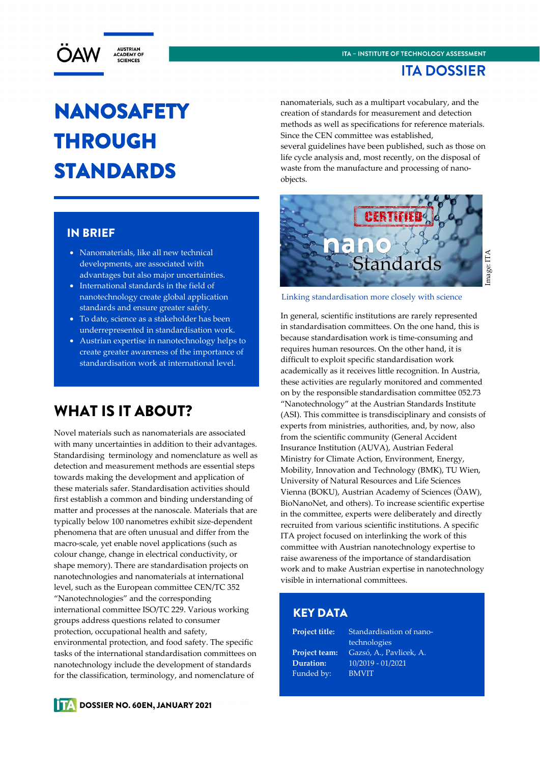

### **ITA DOSSIER**

# NANOSAFETY THROUGH STANDARDS

### IN BRIEF

- Nanomaterials, like all new technical developments, are associated with advantages but also major uncertainties.
- International standards in the field of nanotechnology create global application standards and ensure greater safety.
- To date, science as a stakeholder has been underrepresented in standardisation work.
- Austrian expertise in nanotechnology helps to create greater awareness of the importance of standardisation work at international level.

# WHAT IS IT ABOUT?

Novel materials such as nanomaterials are associated with many uncertainties in addition to their advantages. Standardising terminology and nomenclature as well as detection and measurement methods are essential steps towards making the development and application of these materials safer. Standardisation activities should first establish a common and binding understanding of matter and processes at the nanoscale. Materials that are typically below 100 nanometres exhibit size-dependent phenomena that are often unusual and differ from the macro-scale, yet enable novel applications (such as colour change, change in electrical conductivity, or shape memory). There are standardisation projects on nanotechnologies and nanomaterials at international level, such as the European committee CEN/TC 352 "Nanotechnologies" and the corresponding international committee ISO/TC 229. Various working groups address questions related to consumer protection, occupational health and safety, environmental protection, and food safety. The specific tasks of the international standardisation committees on nanotechnology include the development of standards for the classification, terminology, and nomenclature of

nanomaterials, such as a multipart vocabulary, and the creation of standards for measurement and detection methods as well as specifications for reference materials. Since the CEN committee was established, several guidelines have been published, such as those on life cycle analysis and, most recently, on the disposal of waste from the manufacture and processing of nanoobjects.



# mage: ITA Image: ITA

#### Linking standardisation more closely with science

In general, scientific institutions are rarely represented in standardisation committees. On the one hand, this is because standardisation work is time-consuming and requires human resources. On the other hand, it is difficult to exploit specific standardisation work academically as it receives little recognition. In Austria, these activities are regularly monitored and commented on by the responsible standardisation committee 052.73 "Nanotechnology" at the Austrian Standards Institute (ASI). This committee is transdisciplinary and consists of experts from ministries, authorities, and, by now, also from the scientific community (General Accident Insurance Institution (AUVA), Austrian Federal Ministry for Climate Action, Environment, Energy, Mobility, Innovation and Technology (BMK), TU Wien, University of Natural Resources and Life Sciences Vienna (BOKU), Austrian Academy of Sciences (ÖAW), BioNanoNet, and others). To increase scientific expertise in the committee, experts were deliberately and directly recruited from various scientific institutions. A specific ITA project focused on interlinking the work of this committee with Austrian nanotechnology expertise to raise awareness of the importance of standardisation work and to make Austrian expertise in nanotechnology visible in international committees.

#### KEY DATA

Funded by: BMVIT

**Project title:** Standardisation of nano technologies **Project team:** Gazsó, A., Pavlicek, A. **Duration:** 10/2019 - 01/2021